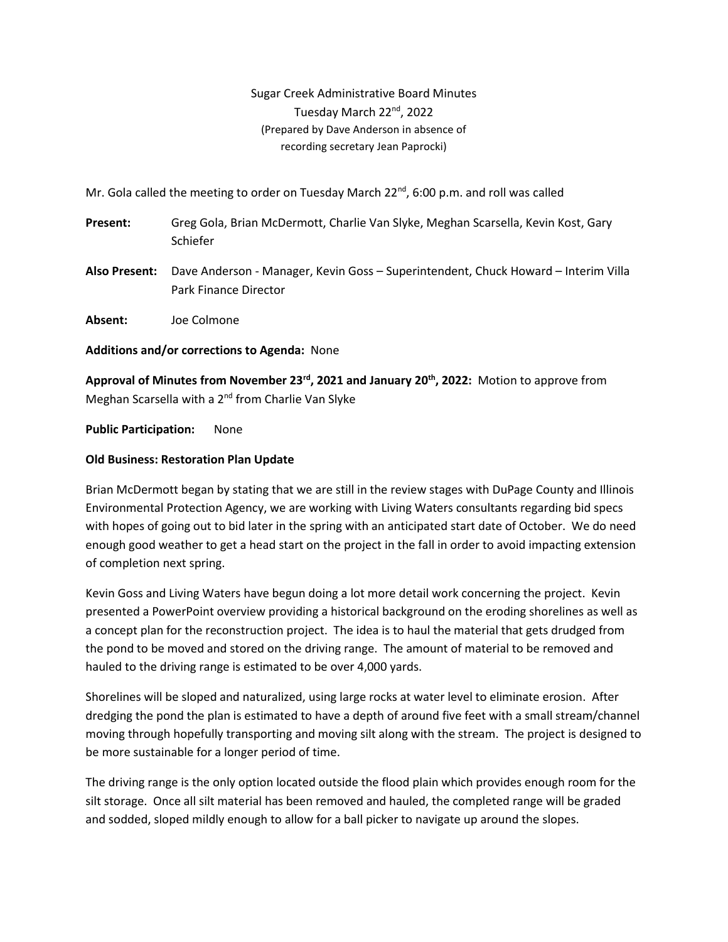Sugar Creek Administrative Board Minutes Tuesday March 22<sup>nd</sup>, 2022 (Prepared by Dave Anderson in absence of recording secretary Jean Paprocki)

Mr. Gola called the meeting to order on Tuesday March  $22^{nd}$ , 6:00 p.m. and roll was called

- **Present:** Greg Gola, Brian McDermott, Charlie Van Slyke, Meghan Scarsella, Kevin Kost, Gary Schiefer
- **Also Present:** Dave Anderson Manager, Kevin Goss Superintendent, Chuck Howard Interim Villa Park Finance Director

**Absent:** Joe Colmone

**Additions and/or corrections to Agenda:** None

**Approval of Minutes from November 23rd, 2021 and January 20th, 2022:** Motion to approve from Meghan Scarsella with a 2<sup>nd</sup> from Charlie Van Slyke

**Public Participation:** None

### **Old Business: Restoration Plan Update**

Brian McDermott began by stating that we are still in the review stages with DuPage County and Illinois Environmental Protection Agency, we are working with Living Waters consultants regarding bid specs with hopes of going out to bid later in the spring with an anticipated start date of October. We do need enough good weather to get a head start on the project in the fall in order to avoid impacting extension of completion next spring.

Kevin Goss and Living Waters have begun doing a lot more detail work concerning the project. Kevin presented a PowerPoint overview providing a historical background on the eroding shorelines as well as a concept plan for the reconstruction project. The idea is to haul the material that gets drudged from the pond to be moved and stored on the driving range. The amount of material to be removed and hauled to the driving range is estimated to be over 4,000 yards.

Shorelines will be sloped and naturalized, using large rocks at water level to eliminate erosion. After dredging the pond the plan is estimated to have a depth of around five feet with a small stream/channel moving through hopefully transporting and moving silt along with the stream. The project is designed to be more sustainable for a longer period of time.

The driving range is the only option located outside the flood plain which provides enough room for the silt storage. Once all silt material has been removed and hauled, the completed range will be graded and sodded, sloped mildly enough to allow for a ball picker to navigate up around the slopes.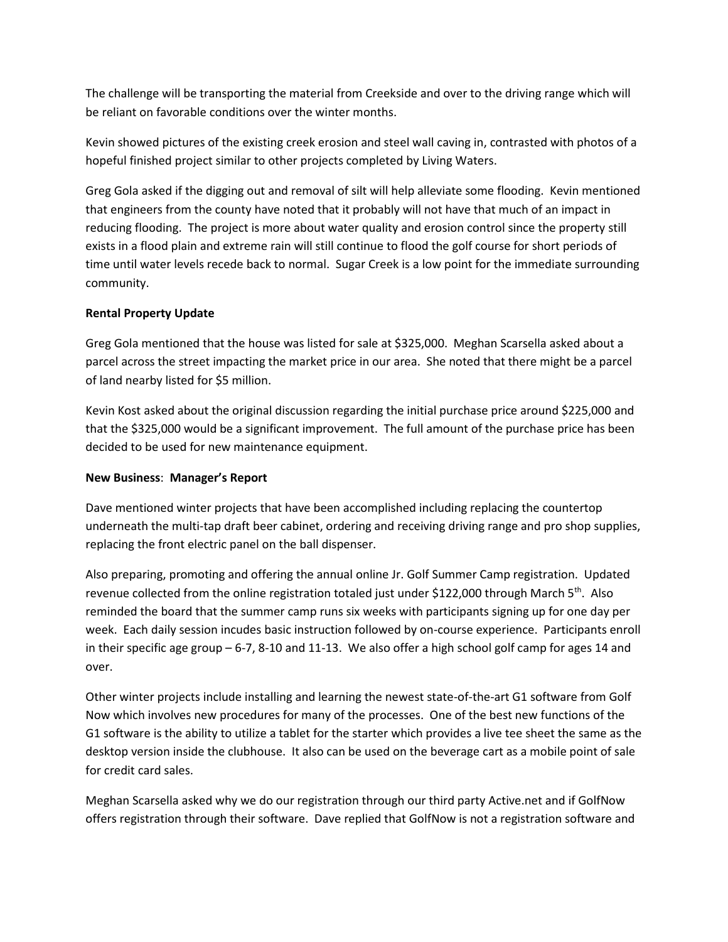The challenge will be transporting the material from Creekside and over to the driving range which will be reliant on favorable conditions over the winter months.

Kevin showed pictures of the existing creek erosion and steel wall caving in, contrasted with photos of a hopeful finished project similar to other projects completed by Living Waters.

Greg Gola asked if the digging out and removal of silt will help alleviate some flooding. Kevin mentioned that engineers from the county have noted that it probably will not have that much of an impact in reducing flooding. The project is more about water quality and erosion control since the property still exists in a flood plain and extreme rain will still continue to flood the golf course for short periods of time until water levels recede back to normal. Sugar Creek is a low point for the immediate surrounding community.

### **Rental Property Update**

Greg Gola mentioned that the house was listed for sale at \$325,000. Meghan Scarsella asked about a parcel across the street impacting the market price in our area. She noted that there might be a parcel of land nearby listed for \$5 million.

Kevin Kost asked about the original discussion regarding the initial purchase price around \$225,000 and that the \$325,000 would be a significant improvement. The full amount of the purchase price has been decided to be used for new maintenance equipment.

### **New Business**: **Manager's Report**

Dave mentioned winter projects that have been accomplished including replacing the countertop underneath the multi-tap draft beer cabinet, ordering and receiving driving range and pro shop supplies, replacing the front electric panel on the ball dispenser.

Also preparing, promoting and offering the annual online Jr. Golf Summer Camp registration. Updated revenue collected from the online registration totaled just under \$122,000 through March  $5<sup>th</sup>$ . Also reminded the board that the summer camp runs six weeks with participants signing up for one day per week. Each daily session incudes basic instruction followed by on-course experience. Participants enroll in their specific age group – 6-7, 8-10 and 11-13. We also offer a high school golf camp for ages 14 and over.

Other winter projects include installing and learning the newest state-of-the-art G1 software from Golf Now which involves new procedures for many of the processes. One of the best new functions of the G1 software is the ability to utilize a tablet for the starter which provides a live tee sheet the same as the desktop version inside the clubhouse. It also can be used on the beverage cart as a mobile point of sale for credit card sales.

Meghan Scarsella asked why we do our registration through our third party Active.net and if GolfNow offers registration through their software. Dave replied that GolfNow is not a registration software and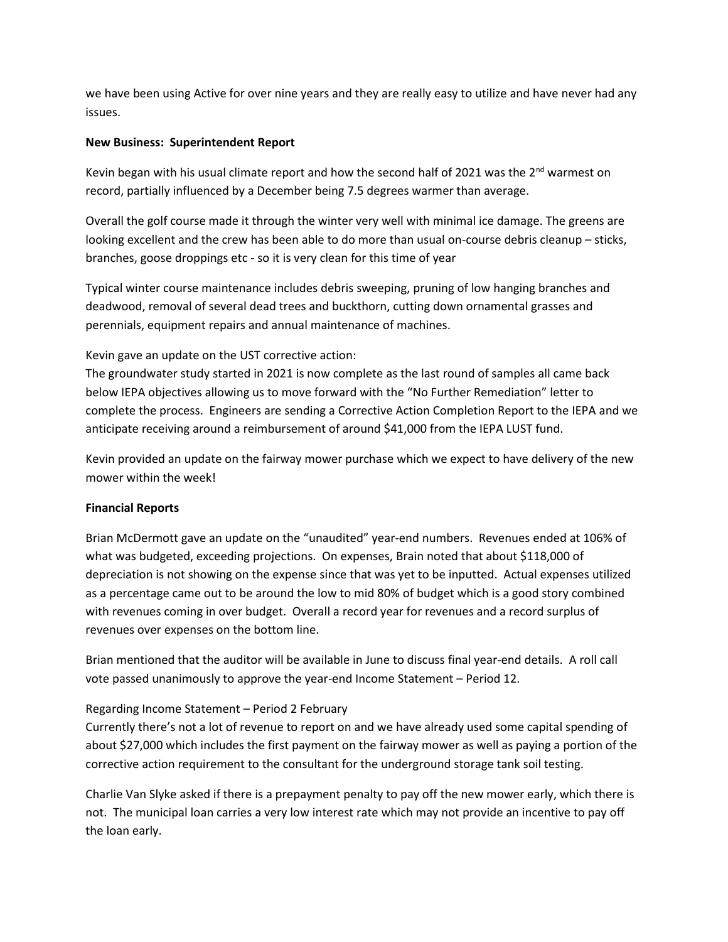we have been using Active for over nine years and they are really easy to utilize and have never had any issues.

#### **New Business: Superintendent Report**

Kevin began with his usual climate report and how the second half of 2021 was the  $2<sup>nd</sup>$  warmest on record, partially influenced by a December being 7.5 degrees warmer than average.

Overall the golf course made it through the winter very well with minimal ice damage. The greens are looking excellent and the crew has been able to do more than usual on-course debris cleanup – sticks, branches, goose droppings etc - so it is very clean for this time of year

Typical winter course maintenance includes debris sweeping, pruning of low hanging branches and deadwood, removal of several dead trees and buckthorn, cutting down ornamental grasses and perennials, equipment repairs and annual maintenance of machines.

# Kevin gave an update on the UST corrective action:

The groundwater study started in 2021 is now complete as the last round of samples all came back below IEPA objectives allowing us to move forward with the "No Further Remediation" letter to complete the process. Engineers are sending a Corrective Action Completion Report to the IEPA and we anticipate receiving around a reimbursement of around \$41,000 from the IEPA LUST fund.

Kevin provided an update on the fairway mower purchase which we expect to have delivery of the new mower within the week!

# **Financial Reports**

Brian McDermott gave an update on the "unaudited" year-end numbers. Revenues ended at 106% of what was budgeted, exceeding projections. On expenses, Brain noted that about \$118,000 of depreciation is not showing on the expense since that was yet to be inputted. Actual expenses utilized as a percentage came out to be around the low to mid 80% of budget which is a good story combined with revenues coming in over budget. Overall a record year for revenues and a record surplus of revenues over expenses on the bottom line.

Brian mentioned that the auditor will be available in June to discuss final year-end details. A roll call vote passed unanimously to approve the year-end Income Statement – Period 12.

# Regarding Income Statement – Period 2 February

Currently there's not a lot of revenue to report on and we have already used some capital spending of about \$27,000 which includes the first payment on the fairway mower as well as paying a portion of the corrective action requirement to the consultant for the underground storage tank soil testing.

Charlie Van Slyke asked if there is a prepayment penalty to pay off the new mower early, which there is not. The municipal loan carries a very low interest rate which may not provide an incentive to pay off the loan early.